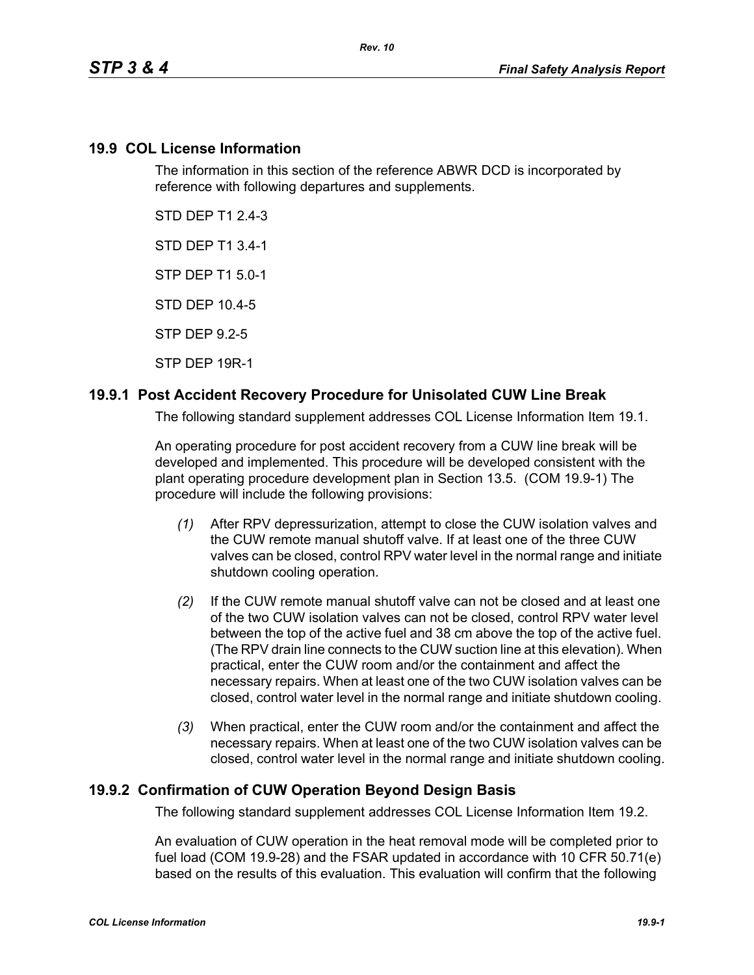### **19.9 COL License Information**

The information in this section of the reference ABWR DCD is incorporated by reference with following departures and supplements.

STD DEP T1 2.4-3

STD DEP T1 3.4-1

STP DEP T1 5.0-1

STD DEP 10.4-5

STP DEP 9.2-5

STP DEP 19R-1

## **19.9.1 Post Accident Recovery Procedure for Unisolated CUW Line Break**

The following standard supplement addresses COL License Information Item 19.1.

An operating procedure for post accident recovery from a CUW line break will be developed and implemented. This procedure will be developed consistent with the plant operating procedure development plan in Section 13.5. (COM 19.9-1) The procedure will include the following provisions:

- *(1)* After RPV depressurization, attempt to close the CUW isolation valves and the CUW remote manual shutoff valve. If at least one of the three CUW valves can be closed, control RPV water level in the normal range and initiate shutdown cooling operation.
- *(2)* If the CUW remote manual shutoff valve can not be closed and at least one of the two CUW isolation valves can not be closed, control RPV water level between the top of the active fuel and 38 cm above the top of the active fuel. (The RPV drain line connects to the CUW suction line at this elevation). When practical, enter the CUW room and/or the containment and affect the necessary repairs. When at least one of the two CUW isolation valves can be closed, control water level in the normal range and initiate shutdown cooling.
- *(3)* When practical, enter the CUW room and/or the containment and affect the necessary repairs. When at least one of the two CUW isolation valves can be closed, control water level in the normal range and initiate shutdown cooling.

## **19.9.2 Confirmation of CUW Operation Beyond Design Basis**

The following standard supplement addresses COL License Information Item 19.2.

An evaluation of CUW operation in the heat removal mode will be completed prior to fuel load (COM 19.9-28) and the FSAR updated in accordance with 10 CFR 50.71(e) based on the results of this evaluation. This evaluation will confirm that the following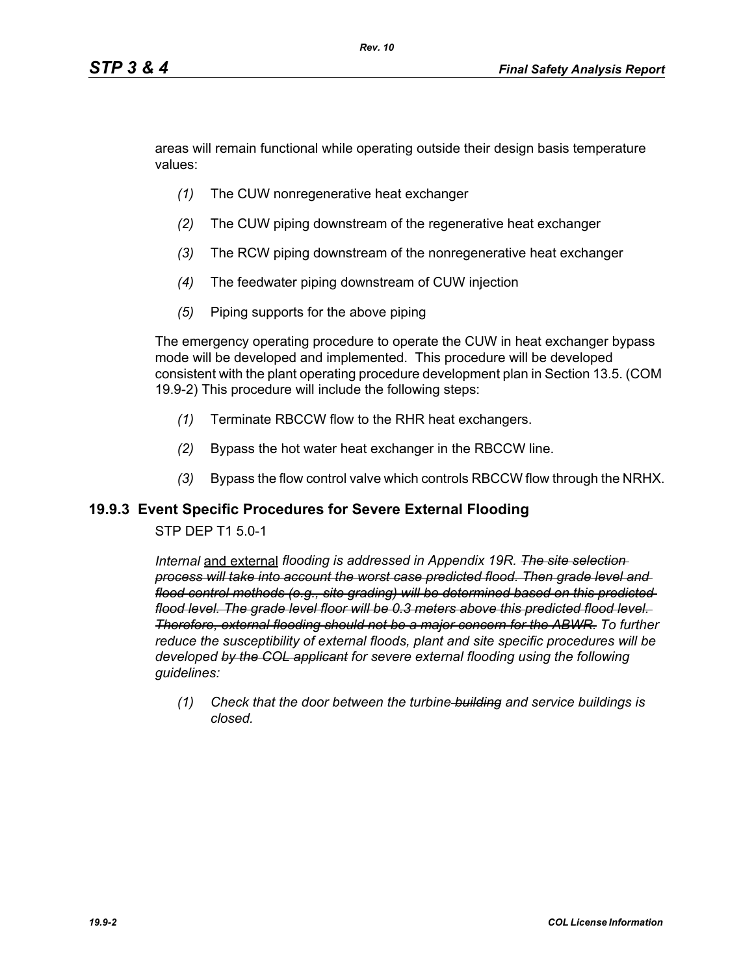areas will remain functional while operating outside their design basis temperature values:

- *(1)* The CUW nonregenerative heat exchanger
- *(2)* The CUW piping downstream of the regenerative heat exchanger
- *(3)* The RCW piping downstream of the nonregenerative heat exchanger
- *(4)* The feedwater piping downstream of CUW injection
- *(5)* Piping supports for the above piping

The emergency operating procedure to operate the CUW in heat exchanger bypass mode will be developed and implemented. This procedure will be developed consistent with the plant operating procedure development plan in Section 13.5. (COM 19.9-2) This procedure will include the following steps:

- *(1)* Terminate RBCCW flow to the RHR heat exchangers.
- *(2)* Bypass the hot water heat exchanger in the RBCCW line.
- *(3)* Bypass the flow control valve which controls RBCCW flow through the NRHX.

#### **19.9.3 Event Specific Procedures for Severe External Flooding**

#### STP DEP T1 5.0-1

*Internal* and external *flooding is addressed in Appendix 19R. The site selection process will take into account the worst case predicted flood. Then grade level and flood control methods (e.g., site grading) will be determined based on this predicted flood level. The grade level floor will be 0.3 meters above this predicted flood level. Therefore, external flooding should not be a major concern for the ABWR. To further reduce the susceptibility of external floods, plant and site specific procedures will be developed by the COL applicant for severe external flooding using the following guidelines:* 

*(1) Check that the door between the turbine building and service buildings is closed.*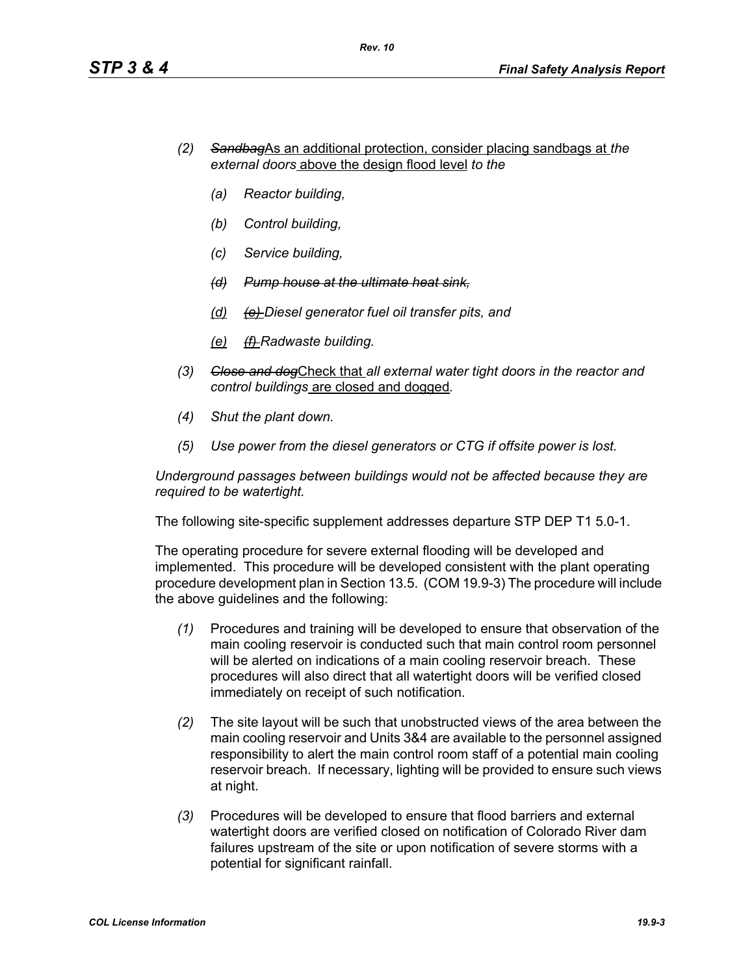- *(2) Sandbag*As an additional protection, consider placing sandbags at *the external doors* above the design flood level *to the*
	- *(a) Reactor building,*
	- *(b) Control building,*
	- *(c) Service building,*
	- *(d) Pump house at the ultimate heat sink,*
	- *(d) (e) Diesel generator fuel oil transfer pits, and*
	- *(e) (f) Radwaste building.*
- *(3) Close and dog*Check that *all external water tight doors in the reactor and control buildings* are closed and dogged*.*
- *(4) Shut the plant down.*
- *(5) Use power from the diesel generators or CTG if offsite power is lost.*

*Underground passages between buildings would not be affected because they are required to be watertight.*

The following site-specific supplement addresses departure STP DEP T1 5.0-1.

The operating procedure for severe external flooding will be developed and implemented. This procedure will be developed consistent with the plant operating procedure development plan in Section 13.5. (COM 19.9-3) The procedure will include the above guidelines and the following:

- *(1)* Procedures and training will be developed to ensure that observation of the main cooling reservoir is conducted such that main control room personnel will be alerted on indications of a main cooling reservoir breach. These procedures will also direct that all watertight doors will be verified closed immediately on receipt of such notification.
- *(2)* The site layout will be such that unobstructed views of the area between the main cooling reservoir and Units 3&4 are available to the personnel assigned responsibility to alert the main control room staff of a potential main cooling reservoir breach. If necessary, lighting will be provided to ensure such views at night.
- *(3)* Procedures will be developed to ensure that flood barriers and external watertight doors are verified closed on notification of Colorado River dam failures upstream of the site or upon notification of severe storms with a potential for significant rainfall.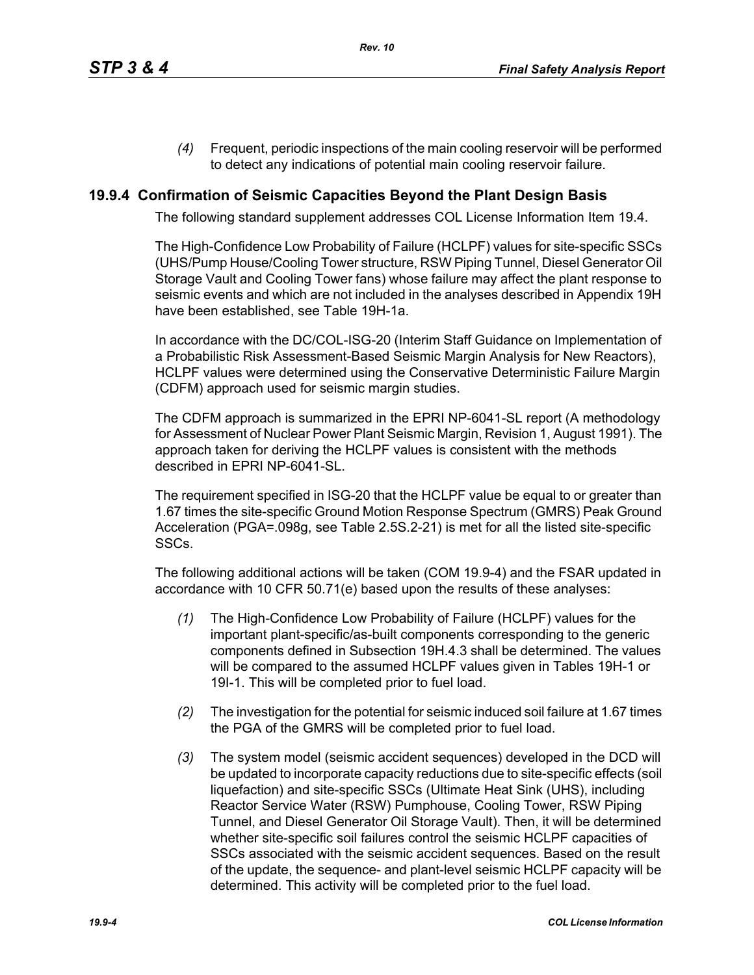*(4)* Frequent, periodic inspections of the main cooling reservoir will be performed to detect any indications of potential main cooling reservoir failure.

## **19.9.4 Confirmation of Seismic Capacities Beyond the Plant Design Basis**

The following standard supplement addresses COL License Information Item 19.4.

The High-Confidence Low Probability of Failure (HCLPF) values for site-specific SSCs (UHS/Pump House/Cooling Tower structure, RSW Piping Tunnel, Diesel Generator Oil Storage Vault and Cooling Tower fans) whose failure may affect the plant response to seismic events and which are not included in the analyses described in Appendix 19H have been established, see Table 19H-1a.

In accordance with the DC/COL-ISG-20 (Interim Staff Guidance on Implementation of a Probabilistic Risk Assessment-Based Seismic Margin Analysis for New Reactors), HCLPF values were determined using the Conservative Deterministic Failure Margin (CDFM) approach used for seismic margin studies.

The CDFM approach is summarized in the EPRI NP-6041-SL report (A methodology for Assessment of Nuclear Power Plant Seismic Margin, Revision 1, August 1991). The approach taken for deriving the HCLPF values is consistent with the methods described in EPRI NP-6041-SL.

The requirement specified in ISG-20 that the HCLPF value be equal to or greater than 1.67 times the site-specific Ground Motion Response Spectrum (GMRS) Peak Ground Acceleration (PGA=.098g, see Table 2.5S.2-21) is met for all the listed site-specific SSCs.

The following additional actions will be taken (COM 19.9-4) and the FSAR updated in accordance with 10 CFR 50.71(e) based upon the results of these analyses:

- *(1)* The High-Confidence Low Probability of Failure (HCLPF) values for the important plant-specific/as-built components corresponding to the generic components defined in Subsection 19H.4.3 shall be determined. The values will be compared to the assumed HCLPF values given in Tables 19H-1 or 19I-1. This will be completed prior to fuel load.
- *(2)* The investigation for the potential for seismic induced soil failure at 1.67 times the PGA of the GMRS will be completed prior to fuel load.
- *(3)* The system model (seismic accident sequences) developed in the DCD will be updated to incorporate capacity reductions due to site-specific effects (soil liquefaction) and site-specific SSCs (Ultimate Heat Sink (UHS), including Reactor Service Water (RSW) Pumphouse, Cooling Tower, RSW Piping Tunnel, and Diesel Generator Oil Storage Vault). Then, it will be determined whether site-specific soil failures control the seismic HCLPF capacities of SSCs associated with the seismic accident sequences. Based on the result of the update, the sequence- and plant-level seismic HCLPF capacity will be determined. This activity will be completed prior to the fuel load.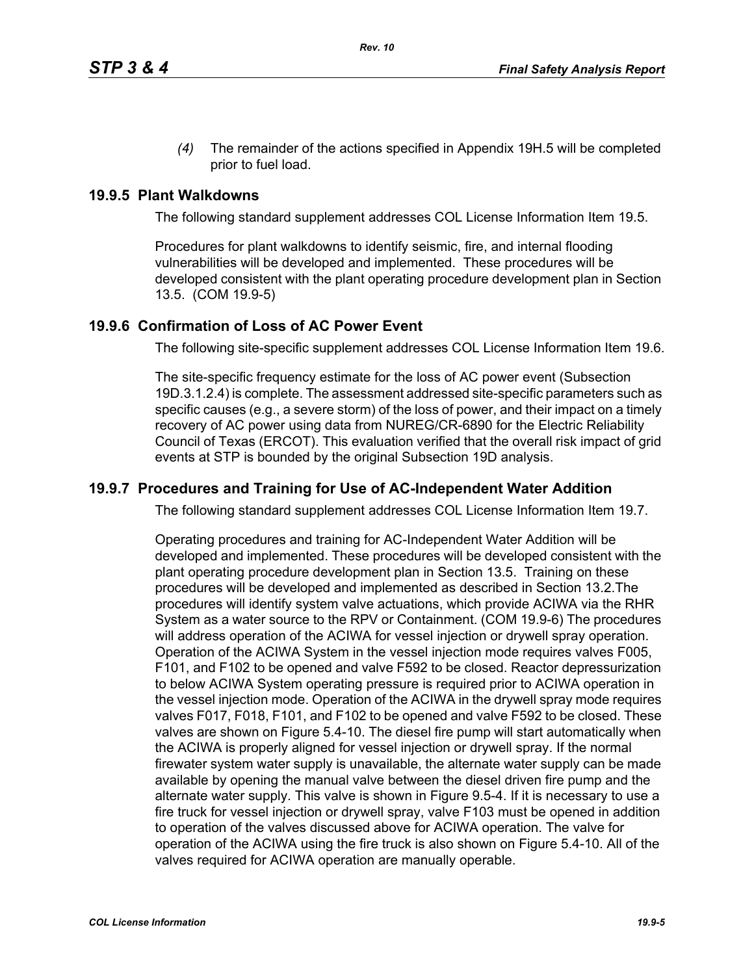*(4)* The remainder of the actions specified in Appendix 19H.5 will be completed prior to fuel load.

### **19.9.5 Plant Walkdowns**

The following standard supplement addresses COL License Information Item 19.5.

Procedures for plant walkdowns to identify seismic, fire, and internal flooding vulnerabilities will be developed and implemented. These procedures will be developed consistent with the plant operating procedure development plan in Section 13.5. (COM 19.9-5)

#### **19.9.6 Confirmation of Loss of AC Power Event**

The following site-specific supplement addresses COL License Information Item 19.6.

The site-specific frequency estimate for the loss of AC power event (Subsection 19D.3.1.2.4) is complete. The assessment addressed site-specific parameters such as specific causes (e.g., a severe storm) of the loss of power, and their impact on a timely recovery of AC power using data from NUREG/CR-6890 for the Electric Reliability Council of Texas (ERCOT). This evaluation verified that the overall risk impact of grid events at STP is bounded by the original Subsection 19D analysis.

#### **19.9.7 Procedures and Training for Use of AC-Independent Water Addition**

The following standard supplement addresses COL License Information Item 19.7.

Operating procedures and training for AC-Independent Water Addition will be developed and implemented. These procedures will be developed consistent with the plant operating procedure development plan in Section 13.5. Training on these procedures will be developed and implemented as described in Section 13.2.The procedures will identify system valve actuations, which provide ACIWA via the RHR System as a water source to the RPV or Containment. (COM 19.9-6) The procedures will address operation of the ACIWA for vessel injection or drywell spray operation. Operation of the ACIWA System in the vessel injection mode requires valves F005, F101, and F102 to be opened and valve F592 to be closed. Reactor depressurization to below ACIWA System operating pressure is required prior to ACIWA operation in the vessel injection mode. Operation of the ACIWA in the drywell spray mode requires valves F017, F018, F101, and F102 to be opened and valve F592 to be closed. These valves are shown on Figure 5.4-10. The diesel fire pump will start automatically when the ACIWA is properly aligned for vessel injection or drywell spray. If the normal firewater system water supply is unavailable, the alternate water supply can be made available by opening the manual valve between the diesel driven fire pump and the alternate water supply. This valve is shown in Figure 9.5-4. If it is necessary to use a fire truck for vessel injection or drywell spray, valve F103 must be opened in addition to operation of the valves discussed above for ACIWA operation. The valve for operation of the ACIWA using the fire truck is also shown on Figure 5.4-10. All of the valves required for ACIWA operation are manually operable.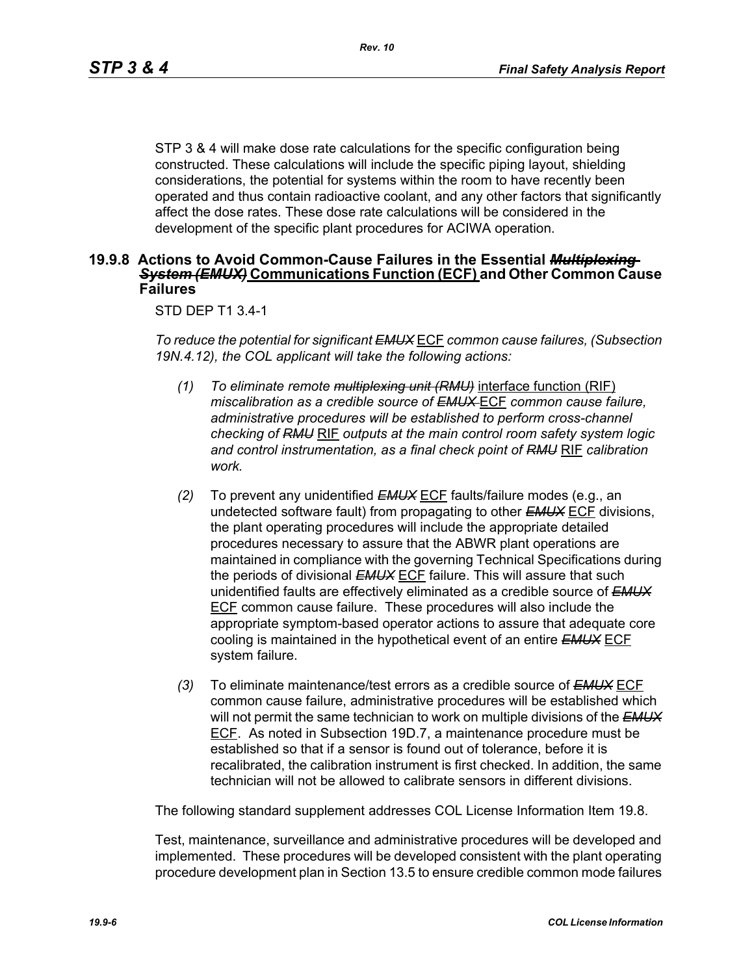STP 3 & 4 will make dose rate calculations for the specific configuration being constructed. These calculations will include the specific piping layout, shielding considerations, the potential for systems within the room to have recently been operated and thus contain radioactive coolant, and any other factors that significantly affect the dose rates. These dose rate calculations will be considered in the development of the specific plant procedures for ACIWA operation.

#### **19.9.8 Actions to Avoid Common-Cause Failures in the Essential** *Multiplexing System (EMUX)* **Communications Function (ECF) and Other Common Cause Failures**

#### STD DEP T1 3.4-1

*To reduce the potential for significant EMUX* ECF *common cause failures, (Subsection 19N.4.12), the COL applicant will take the following actions:*

- *(1) To eliminate remote multiplexing unit (RMU)* interface function (RIF) *miscalibration as a credible source of EMUX* ECF *common cause failure, administrative procedures will be established to perform cross-channel checking of RMU* RIF *outputs at the main control room safety system logic and control instrumentation, as a final check point of RMU* RIF *calibration work.*
- *(2)* To prevent any unidentified *EMUX* ECF faults/failure modes (e.g., an undetected software fault) from propagating to other *EMUX* ECF divisions, the plant operating procedures will include the appropriate detailed procedures necessary to assure that the ABWR plant operations are maintained in compliance with the governing Technical Specifications during the periods of divisional *EMUX* ECF failure. This will assure that such unidentified faults are effectively eliminated as a credible source of *EMUX* ECF common cause failure. These procedures will also include the appropriate symptom-based operator actions to assure that adequate core cooling is maintained in the hypothetical event of an entire *EMUX* ECF system failure.
- *(3)* To eliminate maintenance/test errors as a credible source of *EMUX* ECF common cause failure, administrative procedures will be established which will not permit the same technician to work on multiple divisions of the *EMUX* ECF. As noted in Subsection 19D.7, a maintenance procedure must be established so that if a sensor is found out of tolerance, before it is recalibrated, the calibration instrument is first checked. In addition, the same technician will not be allowed to calibrate sensors in different divisions.

The following standard supplement addresses COL License Information Item 19.8.

Test, maintenance, surveillance and administrative procedures will be developed and implemented. These procedures will be developed consistent with the plant operating procedure development plan in Section 13.5 to ensure credible common mode failures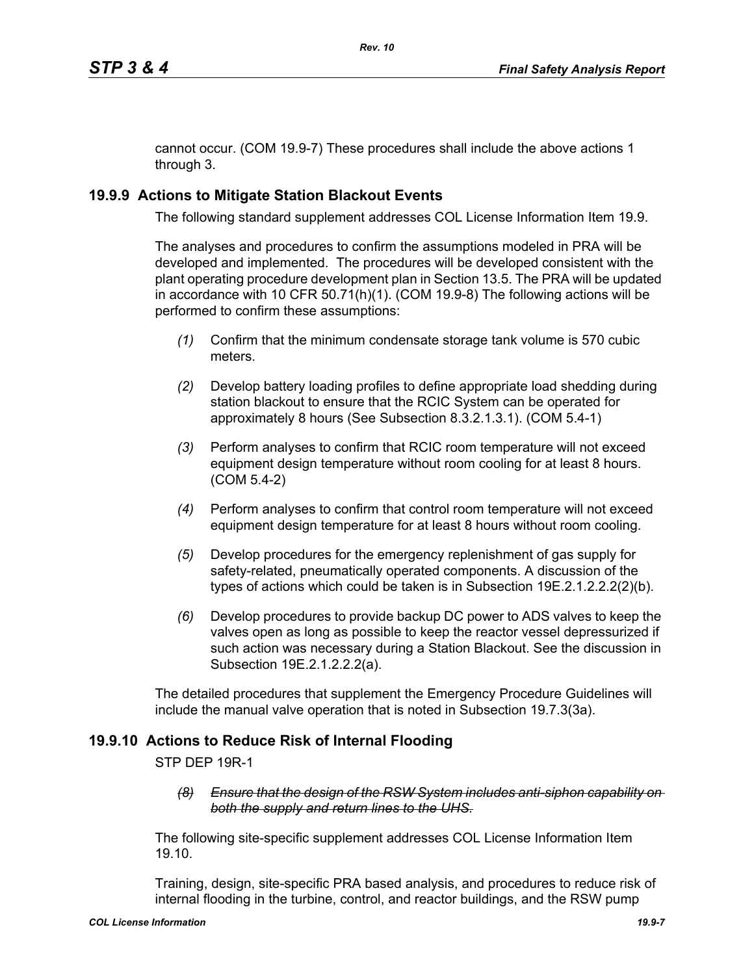cannot occur. (COM 19.9-7) These procedures shall include the above actions 1 through 3.

## **19.9.9 Actions to Mitigate Station Blackout Events**

The following standard supplement addresses COL License Information Item 19.9.

The analyses and procedures to confirm the assumptions modeled in PRA will be developed and implemented. The procedures will be developed consistent with the plant operating procedure development plan in Section 13.5. The PRA will be updated in accordance with 10 CFR 50.71(h)(1). (COM 19.9-8) The following actions will be performed to confirm these assumptions:

- *(1)* Confirm that the minimum condensate storage tank volume is 570 cubic meters.
- *(2)* Develop battery loading profiles to define appropriate load shedding during station blackout to ensure that the RCIC System can be operated for approximately 8 hours (See Subsection 8.3.2.1.3.1). (COM 5.4-1)
- *(3)* Perform analyses to confirm that RCIC room temperature will not exceed equipment design temperature without room cooling for at least 8 hours. (COM 5.4-2)
- *(4)* Perform analyses to confirm that control room temperature will not exceed equipment design temperature for at least 8 hours without room cooling.
- *(5)* Develop procedures for the emergency replenishment of gas supply for safety-related, pneumatically operated components. A discussion of the types of actions which could be taken is in Subsection 19E.2.1.2.2.2(2)(b).
- *(6)* Develop procedures to provide backup DC power to ADS valves to keep the valves open as long as possible to keep the reactor vessel depressurized if such action was necessary during a Station Blackout. See the discussion in Subsection 19E.2.1.2.2.2(a).

The detailed procedures that supplement the Emergency Procedure Guidelines will include the manual valve operation that is noted in Subsection 19.7.3(3a).

# **19.9.10 Actions to Reduce Risk of Internal Flooding**

STP DEP 19R-1

*(8) Ensure that the design of the RSW System includes anti-siphon capability on both the supply and return lines to the UHS.*

The following site-specific supplement addresses COL License Information Item 19.10.

Training, design, site-specific PRA based analysis, and procedures to reduce risk of internal flooding in the turbine, control, and reactor buildings, and the RSW pump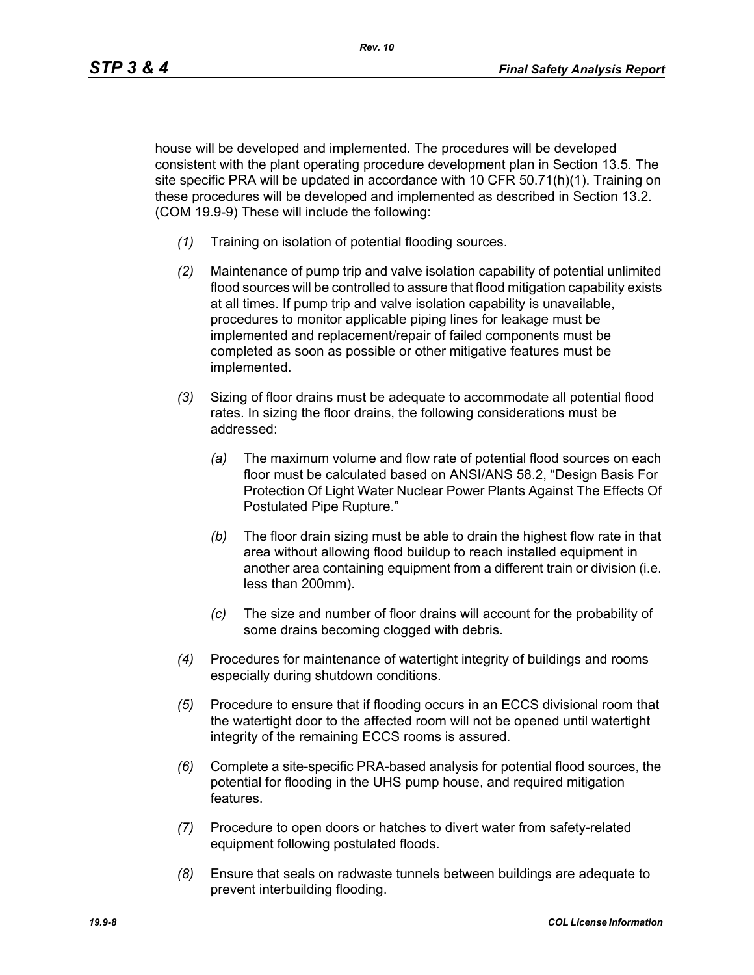house will be developed and implemented. The procedures will be developed consistent with the plant operating procedure development plan in Section 13.5. The site specific PRA will be updated in accordance with 10 CFR 50.71(h)(1). Training on these procedures will be developed and implemented as described in Section 13.2. (COM 19.9-9) These will include the following:

- *(1)* Training on isolation of potential flooding sources.
- *(2)* Maintenance of pump trip and valve isolation capability of potential unlimited flood sources will be controlled to assure that flood mitigation capability exists at all times. If pump trip and valve isolation capability is unavailable, procedures to monitor applicable piping lines for leakage must be implemented and replacement/repair of failed components must be completed as soon as possible or other mitigative features must be implemented.
- *(3)* Sizing of floor drains must be adequate to accommodate all potential flood rates. In sizing the floor drains, the following considerations must be addressed:
	- *(a)* The maximum volume and flow rate of potential flood sources on each floor must be calculated based on ANSI/ANS 58.2, "Design Basis For Protection Of Light Water Nuclear Power Plants Against The Effects Of Postulated Pipe Rupture."
	- *(b)* The floor drain sizing must be able to drain the highest flow rate in that area without allowing flood buildup to reach installed equipment in another area containing equipment from a different train or division (i.e. less than 200mm).
	- *(c)* The size and number of floor drains will account for the probability of some drains becoming clogged with debris.
- *(4)* Procedures for maintenance of watertight integrity of buildings and rooms especially during shutdown conditions.
- *(5)* Procedure to ensure that if flooding occurs in an ECCS divisional room that the watertight door to the affected room will not be opened until watertight integrity of the remaining ECCS rooms is assured.
- *(6)* Complete a site-specific PRA-based analysis for potential flood sources, the potential for flooding in the UHS pump house, and required mitigation features.
- *(7)* Procedure to open doors or hatches to divert water from safety-related equipment following postulated floods.
- *(8)* Ensure that seals on radwaste tunnels between buildings are adequate to prevent interbuilding flooding.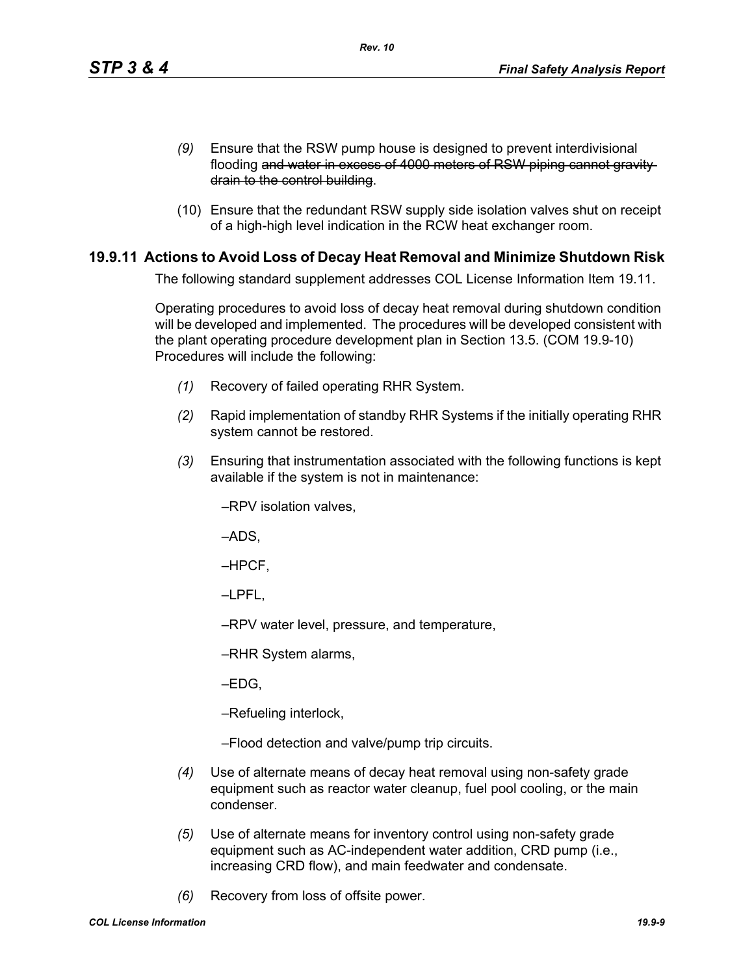- *(9)* Ensure that the RSW pump house is designed to prevent interdivisional flooding and water in excess of 4000 meters of RSW piping cannot gravity drain to the control building.
- (10) Ensure that the redundant RSW supply side isolation valves shut on receipt of a high-high level indication in the RCW heat exchanger room.

## **19.9.11 Actions to Avoid Loss of Decay Heat Removal and Minimize Shutdown Risk**

The following standard supplement addresses COL License Information Item 19.11.

Operating procedures to avoid loss of decay heat removal during shutdown condition will be developed and implemented. The procedures will be developed consistent with the plant operating procedure development plan in Section 13.5. (COM 19.9-10) Procedures will include the following:

- *(1)* Recovery of failed operating RHR System.
- *(2)* Rapid implementation of standby RHR Systems if the initially operating RHR system cannot be restored.
- *(3)* Ensuring that instrumentation associated with the following functions is kept available if the system is not in maintenance:

–RPV isolation valves,

–ADS,

–HPCF,

–LPFL,

–RPV water level, pressure, and temperature,

–RHR System alarms,

–EDG,

–Refueling interlock,

–Flood detection and valve/pump trip circuits.

- *(4)* Use of alternate means of decay heat removal using non-safety grade equipment such as reactor water cleanup, fuel pool cooling, or the main condenser.
- *(5)* Use of alternate means for inventory control using non-safety grade equipment such as AC-independent water addition, CRD pump (i.e., increasing CRD flow), and main feedwater and condensate.
- *(6)* Recovery from loss of offsite power.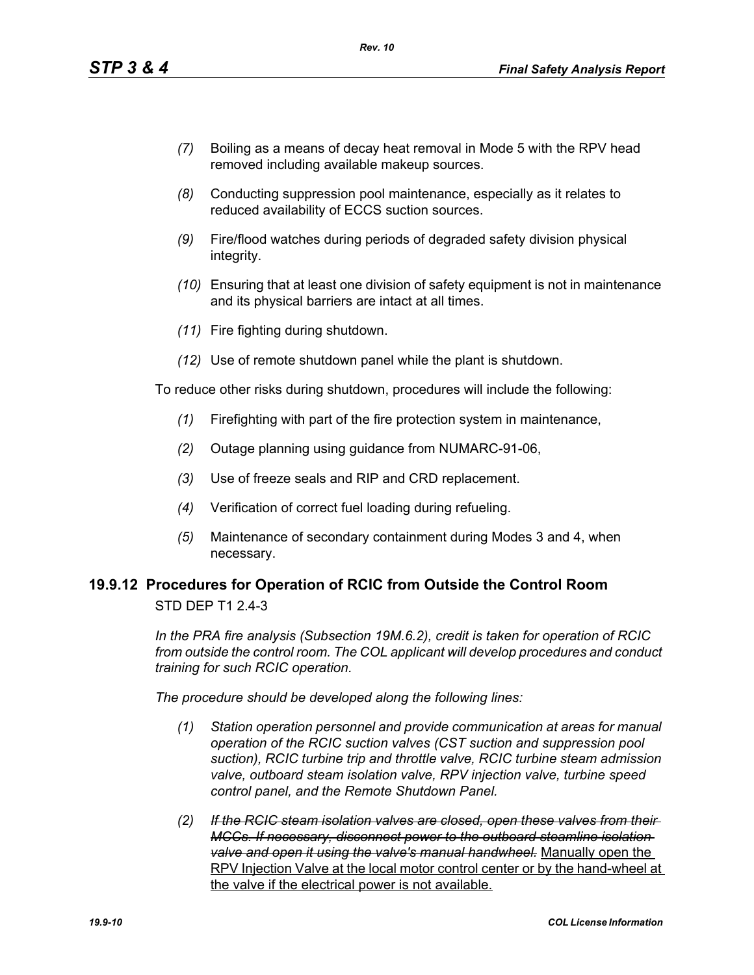- *(7)* Boiling as a means of decay heat removal in Mode 5 with the RPV head removed including available makeup sources.
- *(8)* Conducting suppression pool maintenance, especially as it relates to reduced availability of ECCS suction sources.
- *(9)* Fire/flood watches during periods of degraded safety division physical integrity.
- *(10)* Ensuring that at least one division of safety equipment is not in maintenance and its physical barriers are intact at all times.
- *(11)* Fire fighting during shutdown.
- *(12)* Use of remote shutdown panel while the plant is shutdown.

To reduce other risks during shutdown, procedures will include the following:

- *(1)* Firefighting with part of the fire protection system in maintenance,
- *(2)* Outage planning using guidance from NUMARC-91-06,
- *(3)* Use of freeze seals and RIP and CRD replacement.
- *(4)* Verification of correct fuel loading during refueling.
- *(5)* Maintenance of secondary containment during Modes 3 and 4, when necessary.

#### **19.9.12 Procedures for Operation of RCIC from Outside the Control Room** STD DEP T1 2.4-3

*In the PRA fire analysis (Subsection 19M.6.2), credit is taken for operation of RCIC from outside the control room. The COL applicant will develop procedures and conduct training for such RCIC operation.*

*The procedure should be developed along the following lines:*

- *(1) Station operation personnel and provide communication at areas for manual operation of the RCIC suction valves (CST suction and suppression pool suction), RCIC turbine trip and throttle valve, RCIC turbine steam admission valve, outboard steam isolation valve, RPV injection valve, turbine speed control panel, and the Remote Shutdown Panel.*
- *(2) If the RCIC steam isolation valves are closed, open these valves from their MCCs. If necessary, disconnect power to the outboard steamline isolation valve and open it using the valve's manual handwheel.* Manually open the RPV Injection Valve at the local motor control center or by the hand-wheel at the valve if the electrical power is not available.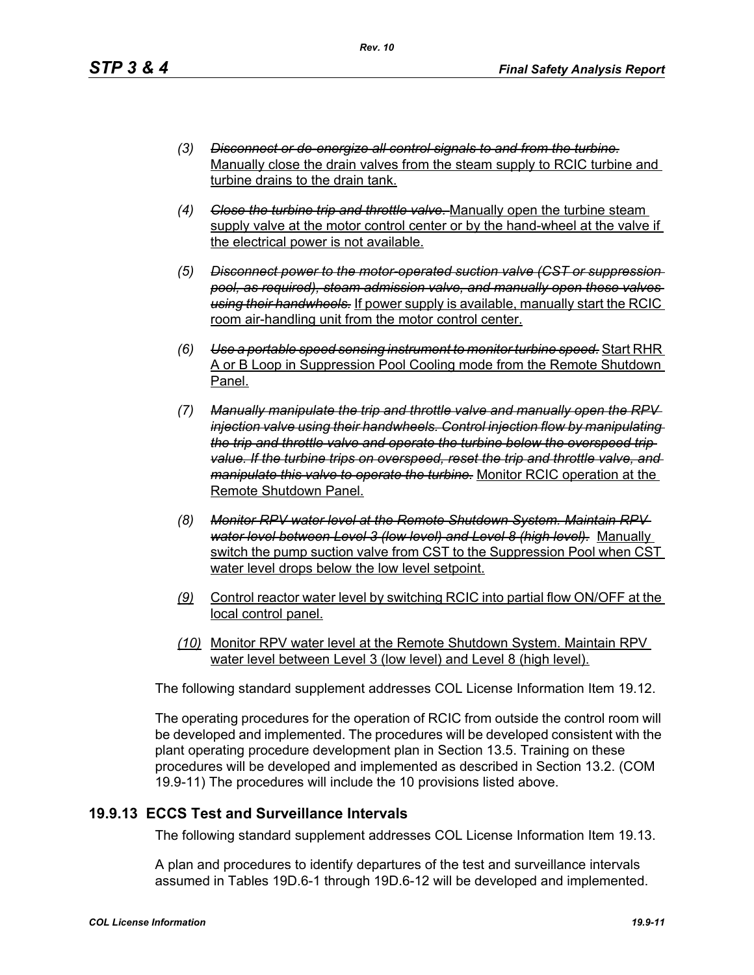- *(3) Disconnect or de-energize all control signals to and from the turbine.* Manually close the drain valves from the steam supply to RCIC turbine and turbine drains to the drain tank.
- *(4) Close the turbine trip and throttle valve.* Manually open the turbine steam supply valve at the motor control center or by the hand-wheel at the valve if the electrical power is not available.
- *(5) Disconnect power to the motor-operated suction valve (CST or suppression pool, as required), steam admission valve, and manually open these valves using their handwheels.* If power supply is available, manually start the RCIC room air-handling unit from the motor control center.
- *(6) Use a portable speed sensing instrument to monitor turbine speed.* Start RHR A or B Loop in Suppression Pool Cooling mode from the Remote Shutdown Panel.
- *(7) Manually manipulate the trip and throttle valve and manually open the RPV injection valve using their handwheels. Control injection flow by manipulating the trip and throttle valve and operate the turbine below the overspeed trip value. If the turbine trips on overspeed, reset the trip and throttle valve, and manipulate this valve to operate the turbine.* Monitor RCIC operation at the Remote Shutdown Panel.
- *(8) Monitor RPV water level at the Remote Shutdown System. Maintain RPV water level between Level 3 (low level) and Level 8 (high level).* Manually switch the pump suction valve from CST to the Suppression Pool when CST water level drops below the low level setpoint.
- *(9)* Control reactor water level by switching RCIC into partial flow ON/OFF at the local control panel.
- *(10)* Monitor RPV water level at the Remote Shutdown System. Maintain RPV water level between Level 3 (low level) and Level 8 (high level).

The following standard supplement addresses COL License Information Item 19.12.

The operating procedures for the operation of RCIC from outside the control room will be developed and implemented. The procedures will be developed consistent with the plant operating procedure development plan in Section 13.5. Training on these procedures will be developed and implemented as described in Section 13.2. (COM 19.9-11) The procedures will include the 10 provisions listed above.

## **19.9.13 ECCS Test and Surveillance Intervals**

The following standard supplement addresses COL License Information Item 19.13.

A plan and procedures to identify departures of the test and surveillance intervals assumed in Tables 19D.6-1 through 19D.6-12 will be developed and implemented.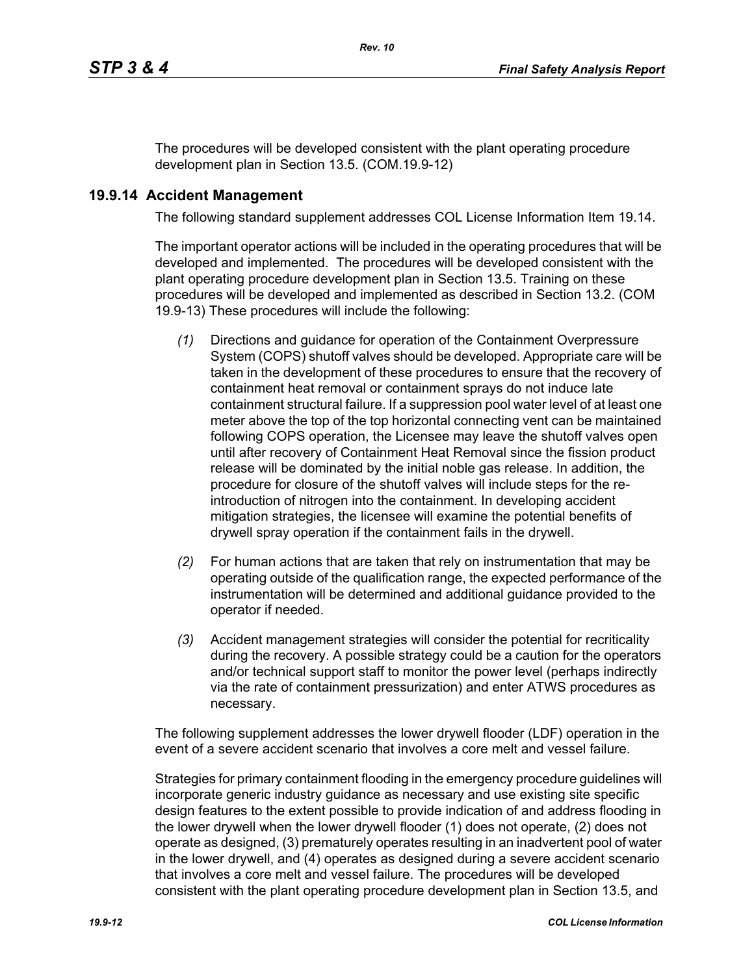The procedures will be developed consistent with the plant operating procedure development plan in Section 13.5. (COM.19.9-12)

## **19.9.14 Accident Management**

The following standard supplement addresses COL License Information Item 19.14.

The important operator actions will be included in the operating procedures that will be developed and implemented. The procedures will be developed consistent with the plant operating procedure development plan in Section 13.5. Training on these procedures will be developed and implemented as described in Section 13.2. (COM 19.9-13) These procedures will include the following:

- *(1)* Directions and guidance for operation of the Containment Overpressure System (COPS) shutoff valves should be developed. Appropriate care will be taken in the development of these procedures to ensure that the recovery of containment heat removal or containment sprays do not induce late containment structural failure. If a suppression pool water level of at least one meter above the top of the top horizontal connecting vent can be maintained following COPS operation, the Licensee may leave the shutoff valves open until after recovery of Containment Heat Removal since the fission product release will be dominated by the initial noble gas release. In addition, the procedure for closure of the shutoff valves will include steps for the reintroduction of nitrogen into the containment. In developing accident mitigation strategies, the licensee will examine the potential benefits of drywell spray operation if the containment fails in the drywell.
- *(2)* For human actions that are taken that rely on instrumentation that may be operating outside of the qualification range, the expected performance of the instrumentation will be determined and additional guidance provided to the operator if needed.
- *(3)* Accident management strategies will consider the potential for recriticality during the recovery. A possible strategy could be a caution for the operators and/or technical support staff to monitor the power level (perhaps indirectly via the rate of containment pressurization) and enter ATWS procedures as necessary.

The following supplement addresses the lower drywell flooder (LDF) operation in the event of a severe accident scenario that involves a core melt and vessel failure.

Strategies for primary containment flooding in the emergency procedure guidelines will incorporate generic industry guidance as necessary and use existing site specific design features to the extent possible to provide indication of and address flooding in the lower drywell when the lower drywell flooder (1) does not operate, (2) does not operate as designed, (3) prematurely operates resulting in an inadvertent pool of water in the lower drywell, and (4) operates as designed during a severe accident scenario that involves a core melt and vessel failure. The procedures will be developed consistent with the plant operating procedure development plan in Section 13.5, and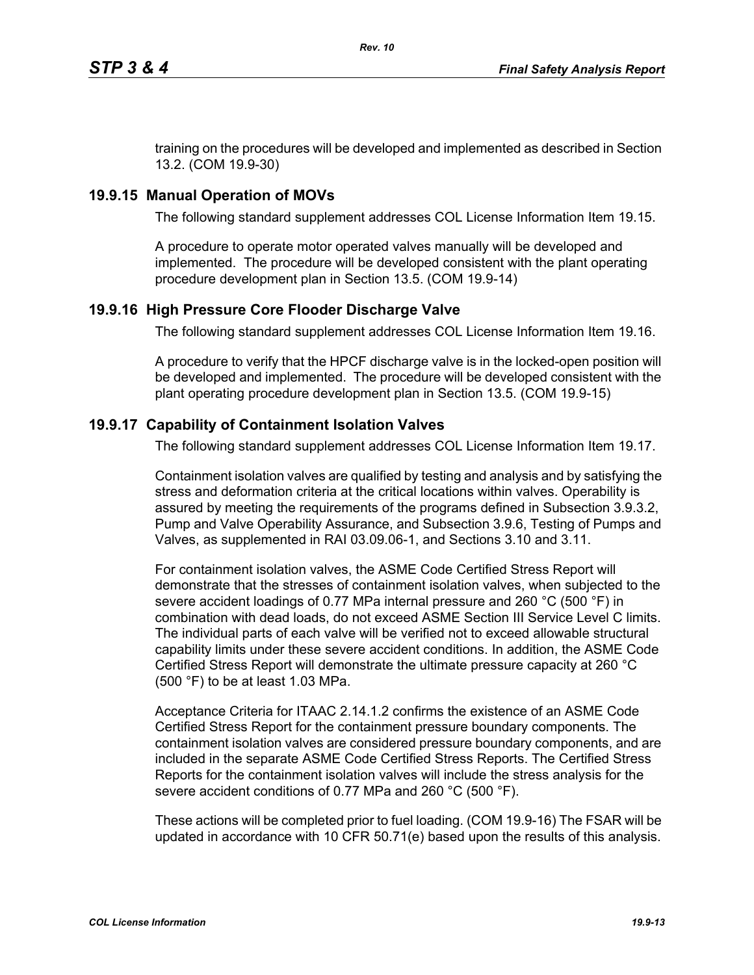training on the procedures will be developed and implemented as described in Section 13.2. (COM 19.9-30)

## **19.9.15 Manual Operation of MOVs**

The following standard supplement addresses COL License Information Item 19.15.

A procedure to operate motor operated valves manually will be developed and implemented. The procedure will be developed consistent with the plant operating procedure development plan in Section 13.5. (COM 19.9-14)

## **19.9.16 High Pressure Core Flooder Discharge Valve**

The following standard supplement addresses COL License Information Item 19.16.

A procedure to verify that the HPCF discharge valve is in the locked-open position will be developed and implemented. The procedure will be developed consistent with the plant operating procedure development plan in Section 13.5. (COM 19.9-15)

## **19.9.17 Capability of Containment Isolation Valves**

The following standard supplement addresses COL License Information Item 19.17.

Containment isolation valves are qualified by testing and analysis and by satisfying the stress and deformation criteria at the critical locations within valves. Operability is assured by meeting the requirements of the programs defined in Subsection 3.9.3.2, Pump and Valve Operability Assurance, and Subsection 3.9.6, Testing of Pumps and Valves, as supplemented in RAI 03.09.06-1, and Sections 3.10 and 3.11.

For containment isolation valves, the ASME Code Certified Stress Report will demonstrate that the stresses of containment isolation valves, when subjected to the severe accident loadings of 0.77 MPa internal pressure and 260 °C (500 °F) in combination with dead loads, do not exceed ASME Section III Service Level C limits. The individual parts of each valve will be verified not to exceed allowable structural capability limits under these severe accident conditions. In addition, the ASME Code Certified Stress Report will demonstrate the ultimate pressure capacity at 260 °C (500 °F) to be at least 1.03 MPa.

Acceptance Criteria for ITAAC 2.14.1.2 confirms the existence of an ASME Code Certified Stress Report for the containment pressure boundary components. The containment isolation valves are considered pressure boundary components, and are included in the separate ASME Code Certified Stress Reports. The Certified Stress Reports for the containment isolation valves will include the stress analysis for the severe accident conditions of 0.77 MPa and 260 °C (500 °F).

These actions will be completed prior to fuel loading. (COM 19.9-16) The FSAR will be updated in accordance with 10 CFR 50.71(e) based upon the results of this analysis.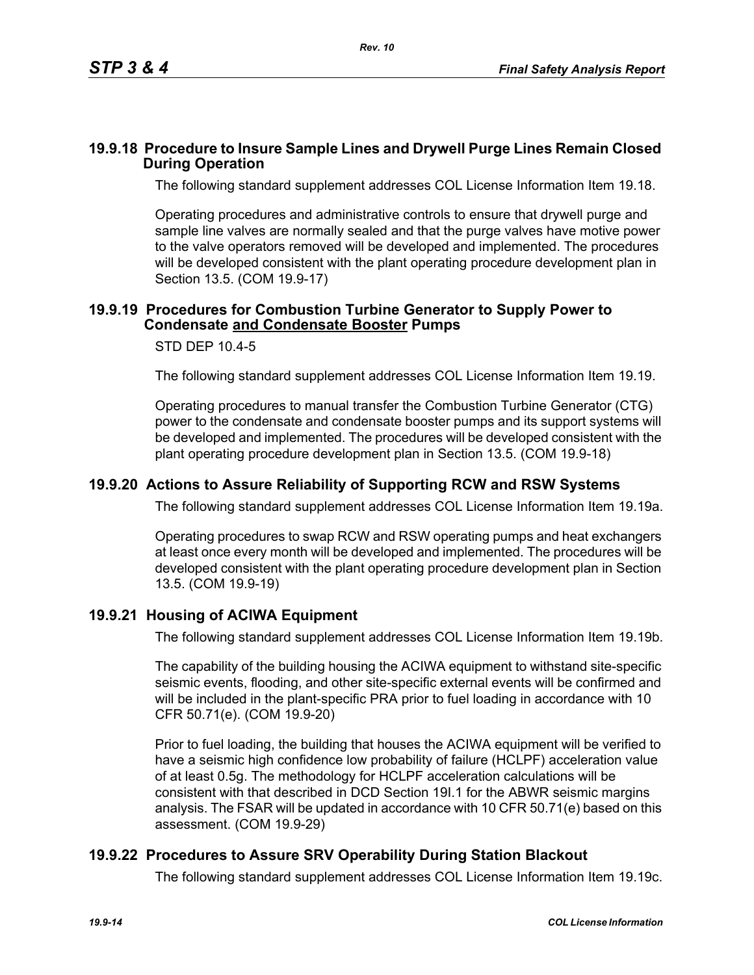#### **19.9.18 Procedure to Insure Sample Lines and Drywell Purge Lines Remain Closed During Operation**

The following standard supplement addresses COL License Information Item 19.18.

Operating procedures and administrative controls to ensure that drywell purge and sample line valves are normally sealed and that the purge valves have motive power to the valve operators removed will be developed and implemented. The procedures will be developed consistent with the plant operating procedure development plan in Section 13.5. (COM 19.9-17)

#### **19.9.19 Procedures for Combustion Turbine Generator to Supply Power to Condensate and Condensate Booster Pumps**

#### STD DEP 10.4-5

The following standard supplement addresses COL License Information Item 19.19.

Operating procedures to manual transfer the Combustion Turbine Generator (CTG) power to the condensate and condensate booster pumps and its support systems will be developed and implemented. The procedures will be developed consistent with the plant operating procedure development plan in Section 13.5. (COM 19.9-18)

#### **19.9.20 Actions to Assure Reliability of Supporting RCW and RSW Systems**

The following standard supplement addresses COL License Information Item 19.19a.

Operating procedures to swap RCW and RSW operating pumps and heat exchangers at least once every month will be developed and implemented. The procedures will be developed consistent with the plant operating procedure development plan in Section 13.5. (COM 19.9-19)

#### **19.9.21 Housing of ACIWA Equipment**

The following standard supplement addresses COL License Information Item 19.19b.

The capability of the building housing the ACIWA equipment to withstand site-specific seismic events, flooding, and other site-specific external events will be confirmed and will be included in the plant-specific PRA prior to fuel loading in accordance with 10 CFR 50.71(e). (COM 19.9-20)

Prior to fuel loading, the building that houses the ACIWA equipment will be verified to have a seismic high confidence low probability of failure (HCLPF) acceleration value of at least 0.5g. The methodology for HCLPF acceleration calculations will be consistent with that described in DCD Section 19I.1 for the ABWR seismic margins analysis. The FSAR will be updated in accordance with 10 CFR 50.71(e) based on this assessment. (COM 19.9-29)

## **19.9.22 Procedures to Assure SRV Operability During Station Blackout**

The following standard supplement addresses COL License Information Item 19.19c.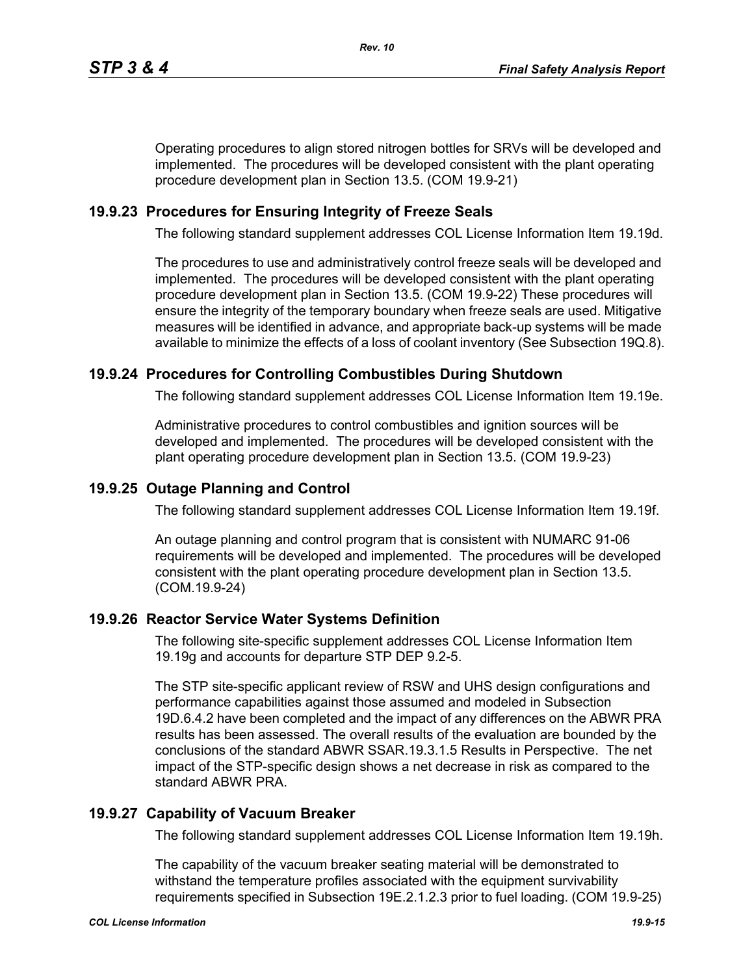Operating procedures to align stored nitrogen bottles for SRVs will be developed and implemented. The procedures will be developed consistent with the plant operating procedure development plan in Section 13.5. (COM 19.9-21)

## **19.9.23 Procedures for Ensuring Integrity of Freeze Seals**

The following standard supplement addresses COL License Information Item 19.19d.

The procedures to use and administratively control freeze seals will be developed and implemented. The procedures will be developed consistent with the plant operating procedure development plan in Section 13.5. (COM 19.9-22) These procedures will ensure the integrity of the temporary boundary when freeze seals are used. Mitigative measures will be identified in advance, and appropriate back-up systems will be made available to minimize the effects of a loss of coolant inventory (See Subsection 19Q.8).

## **19.9.24 Procedures for Controlling Combustibles During Shutdown**

The following standard supplement addresses COL License Information Item 19.19e.

Administrative procedures to control combustibles and ignition sources will be developed and implemented. The procedures will be developed consistent with the plant operating procedure development plan in Section 13.5. (COM 19.9-23)

### **19.9.25 Outage Planning and Control**

The following standard supplement addresses COL License Information Item 19.19f.

An outage planning and control program that is consistent with NUMARC 91-06 requirements will be developed and implemented. The procedures will be developed consistent with the plant operating procedure development plan in Section 13.5. (COM.19.9-24)

## **19.9.26 Reactor Service Water Systems Definition**

The following site-specific supplement addresses COL License Information Item 19.19g and accounts for departure STP DEP 9.2-5.

The STP site-specific applicant review of RSW and UHS design configurations and performance capabilities against those assumed and modeled in Subsection 19D.6.4.2 have been completed and the impact of any differences on the ABWR PRA results has been assessed. The overall results of the evaluation are bounded by the conclusions of the standard ABWR SSAR.19.3.1.5 Results in Perspective. The net impact of the STP-specific design shows a net decrease in risk as compared to the standard ABWR PRA.

## **19.9.27 Capability of Vacuum Breaker**

The following standard supplement addresses COL License Information Item 19.19h.

The capability of the vacuum breaker seating material will be demonstrated to withstand the temperature profiles associated with the equipment survivability requirements specified in Subsection 19E.2.1.2.3 prior to fuel loading. (COM 19.9-25)